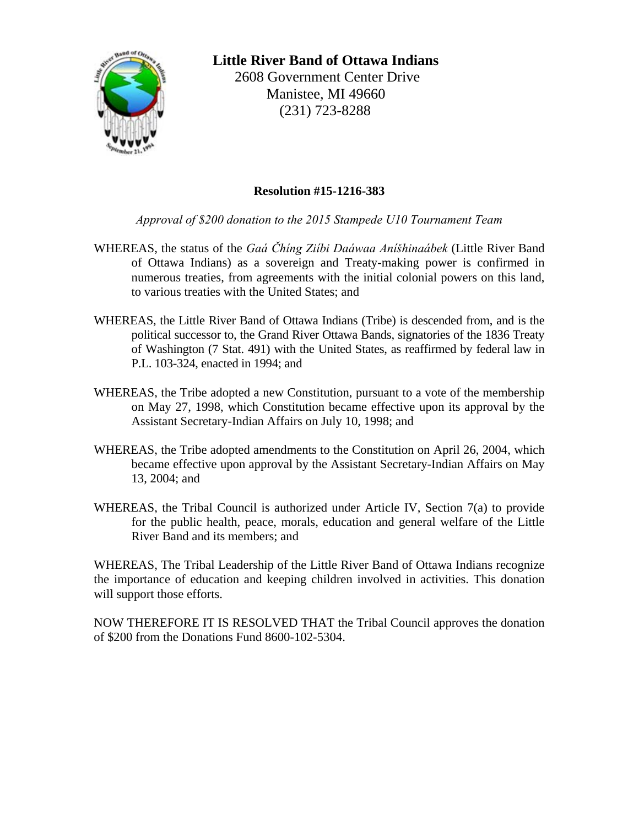

**Little River Band of Ottawa Indians**  2608 Government Center Drive Manistee, MI 49660 (231) 723-8288

## **Resolution #15-1216-383**

*Approval of \$200 donation to the 2015 Stampede U10 Tournament Team*

- WHEREAS, the status of the *Gaá Čhíng Ziíbi Daáwaa Aníšhinaábek* (Little River Band of Ottawa Indians) as a sovereign and Treaty-making power is confirmed in numerous treaties, from agreements with the initial colonial powers on this land, to various treaties with the United States; and
- WHEREAS, the Little River Band of Ottawa Indians (Tribe) is descended from, and is the political successor to, the Grand River Ottawa Bands, signatories of the 1836 Treaty of Washington (7 Stat. 491) with the United States, as reaffirmed by federal law in P.L. 103-324, enacted in 1994; and
- WHEREAS, the Tribe adopted a new Constitution, pursuant to a vote of the membership on May 27, 1998, which Constitution became effective upon its approval by the Assistant Secretary-Indian Affairs on July 10, 1998; and
- WHEREAS, the Tribe adopted amendments to the Constitution on April 26, 2004, which became effective upon approval by the Assistant Secretary-Indian Affairs on May 13, 2004; and
- WHEREAS, the Tribal Council is authorized under Article IV, Section 7(a) to provide for the public health, peace, morals, education and general welfare of the Little River Band and its members; and

WHEREAS, The Tribal Leadership of the Little River Band of Ottawa Indians recognize the importance of education and keeping children involved in activities. This donation will support those efforts.

NOW THEREFORE IT IS RESOLVED THAT the Tribal Council approves the donation of \$200 from the Donations Fund 8600-102-5304.